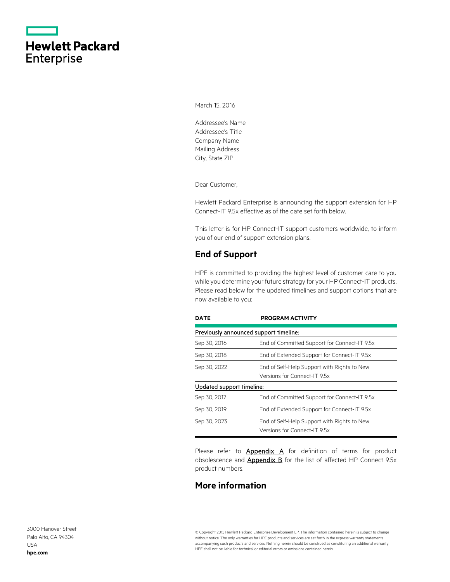|                   | <b>Hewlett Packard</b> |
|-------------------|------------------------|
| <b>Enterprise</b> |                        |

March 15, 2016

Addressee's Name Addressee's Title Company Name Mailing Address City, State ZIP

Dear Customer,

Hewlett Packard Enterprise is announcing the support extension for HP Connect-IT 9.5x effective as of the date set forth below.

This letter is for HP Connect-IT support customers worldwide, to inform you of our end of support extension plans.

## **End of Support**

HPE is committed to providing the highest level of customer care to you while you determine your future strategy for your HP Connect-IT products. Please read below for the updated timelines and support options that are now available to you:

| <b>DATE</b>               | <b>PROGRAM ACTIVITY</b>                                                     |
|---------------------------|-----------------------------------------------------------------------------|
|                           | Previously announced support timeline:                                      |
| Sep 30, 2016              | End of Committed Support for Connect-IT 9.5x                                |
| Sep 30, 2018              | End of Extended Support for Connect-IT 9.5x                                 |
| Sep 30, 2022              | End of Self-Help Support with Rights to New<br>Versions for Connect-IT 9.5x |
| Updated support timeline: |                                                                             |
| Sep 30, 2017              | End of Committed Support for Connect-IT 9.5x                                |
| Sep 30, 2019              | End of Extended Support for Connect-IT 9.5x                                 |
| Sep 30, 2023              | End of Self-Help Support with Rights to New<br>Versions for Connect-IT 9.5x |

Please refer to **[Appendix A](#page-2-0)** for definition of terms for product obsolescence and **Appendix B** for the list of affected HP Connect 9.5x product numbers.

### **More information**

3000 Hanover Street Palo Alto, CA 94304 USA **[hpe.com](http://www.hpe.com/)**

© Copyright 2015 Hewlett Packard Enterprise Development LP. The information contained herein is subject to change without notice. The only warranties for HPE products and services are set forth in the express warranty statements accompanying such products and services. Nothing herein should be construed as constituting an additional warranty. HPE shall not be liable for technical or editorial errors or omissions contained herein.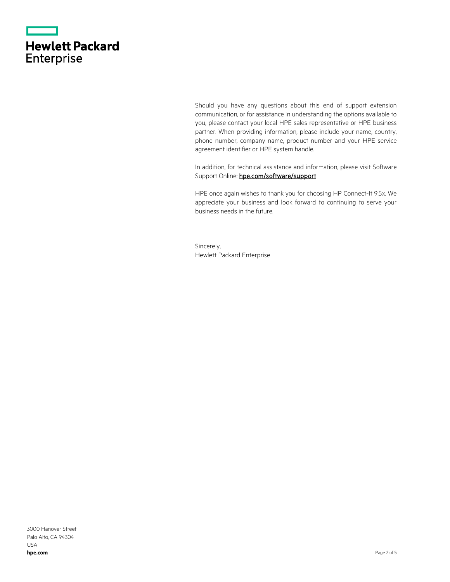|                   | <b>Hewlett Packard</b> |
|-------------------|------------------------|
| <b>Enterprise</b> |                        |

Should you have any questions about this end of support extension communication, or for assistance in understanding the options available to you, please contact your local HPE sales representative or HPE business partner. When providing information, please include your name, country, phone number, company name, product number and your HPE service agreement identifier or HPE system handle.

In addition, for technical assistance and information, please visit Software Support Online: hpe.com/software/support

HPE once again wishes to thank you for choosing HP Connect-It 9.5x. We appreciate your business and look forward to continuing to serve your business needs in the future.

Sincerely, Hewlett Packard Enterprise

3000 Hanover Street Palo Alto, CA 94304 USA **[hpe.com](http://www.hpe.com/)**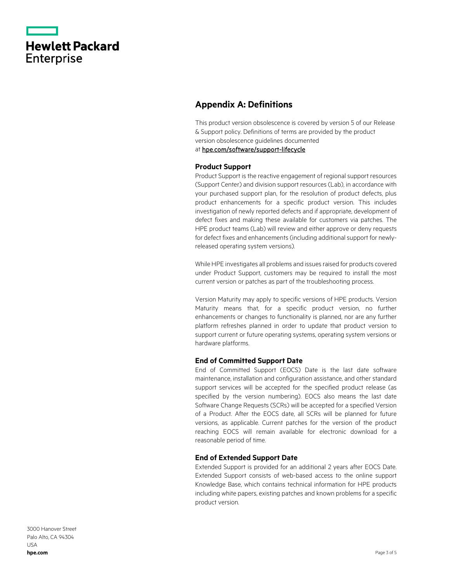|                   | <b>Hewlett Packard</b> |
|-------------------|------------------------|
| <b>Enterprise</b> |                        |

## <span id="page-2-0"></span>**Appendix A: Definitions**

This product version obsolescence is covered by version 5 of our Release & Support policy. Definitions of terms are provided by the product version obsolescence guidelines documented

at [hpe.com/software/support-lifecycle](https://www.hpe.com/software/support-lifecycle)

#### **Product Support**

Product Support is the reactive engagement of regional support resources (Support Center) and division support resources (Lab), in accordance with your purchased support plan, for the resolution of product defects, plus product enhancements for a specific product version. This includes investigation of newly reported defects and if appropriate, development of defect fixes and making these available for customers via patches. The HPE product teams (Lab) will review and either approve or deny requests for defect fixes and enhancements (including additional support for newlyreleased operating system versions).

While HPE investigates all problems and issues raised for products covered under Product Support, customers may be required to install the most current version or patches as part of the troubleshooting process.

Version Maturity may apply to specific versions of HPE products. Version Maturity means that, for a specific product version, no further enhancements or changes to functionality is planned, nor are any further platform refreshes planned in order to update that product version to support current or future operating systems, operating system versions or hardware platforms.

#### **End of Committed Support Date**

End of Committed Support (EOCS) Date is the last date software maintenance, installation and configuration assistance, and other standard support services will be accepted for the specified product release (as specified by the version numbering). EOCS also means the last date Software Change Requests (SCRs) will be accepted for a specified Version of a Product. After the EOCS date, all SCRs will be planned for future versions, as applicable. Current patches for the version of the product reaching EOCS will remain available for electronic download for a reasonable period of time.

#### **End of Extended Support Date**

Extended Support is provided for an additional 2 years after EOCS Date. Extended Support consists of web-based access to the online support Knowledge Base, which contains technical information for HPE products including white papers, existing patches and known problems for a specific product version.

3000 Hanover Street Palo Alto, CA 94304 USA **[hpe.com](http://www.hpe.com/)**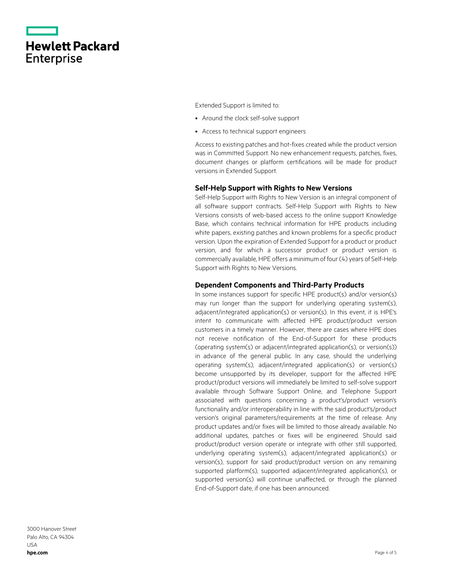|                   | <b>Hewlett Packard</b> |
|-------------------|------------------------|
| <b>Enterprise</b> |                        |

Extended Support is limited to:

- Around the clock self-solve support
- Access to technical support engineers

Access to existing patches and hot-fixes created while the product version was in Committed Support. No new enhancement requests, patches, fixes, document changes or platform certifications will be made for product versions in Extended Support.

#### **Self-Help Support with Rights to New Versions**

Self-Help Support with Rights to New Version is an integral component of all software support contracts. Self-Help Support with Rights to New Versions consists of web-based access to the online support Knowledge Base, which contains technical information for HPE products including white papers, existing patches and known problems for a specific product version. Upon the expiration of Extended Support for a product or product version, and for which a successor product or product version is commercially available, HPE offers a minimum of four (4) years of Self-Help Support with Rights to New Versions.

#### **Dependent Components and Third-Party Products**

In some instances support for specific HPE product(s) and/or version(s) may run longer than the support for underlying operating system(s), adjacent/integrated application(s) or version(s). In this event, it is HPE's intent to communicate with affected HPE product/product version customers in a timely manner. However, there are cases where HPE does not receive notification of the End-of-Support for these products (operating system(s) or adjacent/integrated application(s), or version(s)) in advance of the general public. In any case, should the underlying operating system(s), adjacent/integrated application(s) or version(s) become unsupported by its developer, support for the affected HPE product/product versions will immediately be limited to self-solve support available through Software Support Online, and Telephone Support associated with questions concerning a product's/product version's functionality and/or interoperability in line with the said product's/product version's original parameters/requirements at the time of release. Any product updates and/or fixes will be limited to those already available. No additional updates, patches or fixes will be engineered. Should said product/product version operate or integrate with other still supported, underlying operating system(s), adjacent/integrated application(s) or version(s), support for said product/product version on any remaining supported platform(s), supported adjacent/integrated application(s), or supported version(s) will continue unaffected, or through the planned End-of-Support date, if one has been announced.